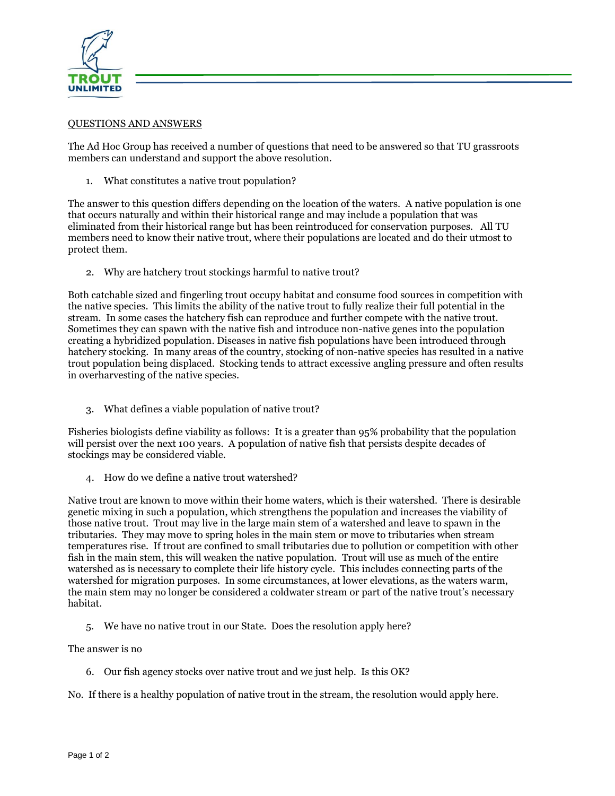

## QUESTIONS AND ANSWERS

The Ad Hoc Group has received a number of questions that need to be answered so that TU grassroots members can understand and support the above resolution.

1. What constitutes a native trout population?

The answer to this question differs depending on the location of the waters. A native population is one that occurs naturally and within their historical range and may include a population that was eliminated from their historical range but has been reintroduced for conservation purposes. All TU members need to know their native trout, where their populations are located and do their utmost to protect them.

2. Why are hatchery trout stockings harmful to native trout?

Both catchable sized and fingerling trout occupy habitat and consume food sources in competition with the native species. This limits the ability of the native trout to fully realize their full potential in the stream. In some cases the hatchery fish can reproduce and further compete with the native trout. Sometimes they can spawn with the native fish and introduce non-native genes into the population creating a hybridized population. Diseases in native fish populations have been introduced through hatchery stocking. In many areas of the country, stocking of non-native species has resulted in a native trout population being displaced. Stocking tends to attract excessive angling pressure and often results in overharvesting of the native species.

3. What defines a viable population of native trout?

Fisheries biologists define viability as follows: It is a greater than 95% probability that the population will persist over the next 100 years. A population of native fish that persists despite decades of stockings may be considered viable.

4. How do we define a native trout watershed?

Native trout are known to move within their home waters, which is their watershed. There is desirable genetic mixing in such a population, which strengthens the population and increases the viability of those native trout. Trout may live in the large main stem of a watershed and leave to spawn in the tributaries. They may move to spring holes in the main stem or move to tributaries when stream temperatures rise. If trout are confined to small tributaries due to pollution or competition with other fish in the main stem, this will weaken the native population. Trout will use as much of the entire watershed as is necessary to complete their life history cycle. This includes connecting parts of the watershed for migration purposes. In some circumstances, at lower elevations, as the waters warm, the main stem may no longer be considered a coldwater stream or part of the native trout's necessary habitat.

5. We have no native trout in our State. Does the resolution apply here?

The answer is no

6. Our fish agency stocks over native trout and we just help. Is this OK?

No. If there is a healthy population of native trout in the stream, the resolution would apply here.